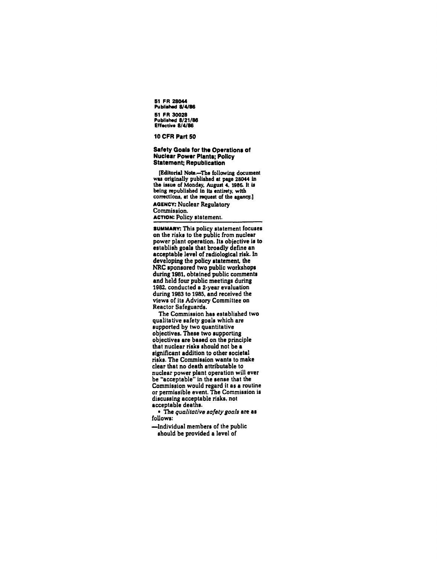51 FR 28044 Published *8/4/86*  51 FR 30028 Published *8/21/86*  Effective *8/4186* 

#### 10 CFR Part 50

# Safety Goals for the Operations of **Nuclear Power Plants; Policy** Statement; Republication

(Editorial Note.-The following document was originally published at page 28044 in the issue of Monday, August 4, 1986. It is being republished in its entirety, with corrections. at the request of the agency.) AGENCY: Nuclear Regulatory Commission. **ACTION: Policy statement.** 

**SUMMARY:** This policy statement focuses<br>on the risks to the public from nuclear power plant operation. Its objective is to<br>establish goals that broadly define an acceptable level of radiological risk. In developing the policy statement, the NRC sponsored two public workshops during 1981. obtained public comments and held four public meetings during 1982. conducted a 2-year evaluation during 1983 to 1985. and received the views of its Advisory Committee on Reactor Safeguards.

The Commission has established two qualitative safety goals which are supported by two quantitative objectives. These two supporting objectives are based on the principle that nuclear risks shou)d not be a significant addition to other societal risks. The Commission wants to make clear that no death attributable to nuclear power plant operation will ever<br>be "acceptable" in the sense that the<br>Commission would regard it as a routine or permissible event. The Commission is discussing acceptable risks. not acceptable deaths.

• The *qualitative safety goals* are as follows:

-Individual members of the public should be provided a level of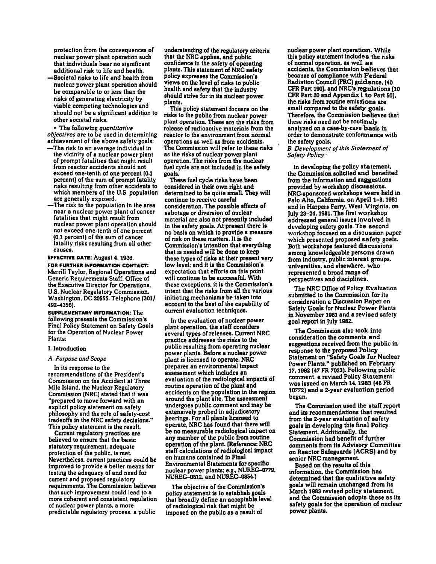protection from the consequences of nuclear power plant operation such that individuals bear no significant additional risk to life and health.

-Societal risks to life and health from nuclear power plant operation should be comparable to or less than the risks of generating electricity by viable competing technologies and should not be a significant addition to other societal risks.

• The following *quantitative objectives* are to be used in determining achievement of the above safety goals:

- -The risk to an average individual in the vicinity of a nuclear power plant of prompt fatalities that might result from reactor accidents should not exceed one-tenth of one percent (0.1 percent) of the sum of prompt fatality risks resulting from other accidents to which members of the U.S. population are generally exposed.
- near a nuclear power plant of cancer<br>fatalities that might result from nuclear power plant operation should not exceed one-tenth of one percent (0.1 percent) of the sum of cancer fatality risks resulting from all other causes.

EFFECTIVE DATE: August 4. 1936. FOR FURTHER INFORMATION CONTACT: Merrill Taylor. Regional Operations and Generic Requirements Staff. Office of the Executive Director for Operations. U.S. Nuclear Regulatory Commission. Washington. DC 20555. Telephone (301/ 492-4356).

SUPPLEMENTARY INFORMATION: The following presents the Commission's Final Policy Statement on Safety Goals for the Operation of Nuclear Power Plants:

# I. Introduction

#### A. *Purpose and Scope*

In its response to the recommendations of the President's Commission on the Accident at Three Mile Island. the Nuclear Regulatory Commission (NRC) stated that it was "prepared to move forward with an explicit policy statement on safety philosophy and the role of safety-cost tradeoffs in the NRC safety decisions." This policy statement is the result.

Current regulatory practices are believed to ensure that the basic statutory requirement. adequate protection of the public. is met. Nevertheless. current practices could be improved to provide a better means for testing the adequacy of and need for current and proposed regulatory requirements. The Commission believes more coherent and consistent regulation of nuclear power plants. a more predictable regulatory process, a public

understanding of the regulatory criteria that the NRC applies. and public confidence in the aafety of operating plants. This atatement of NRC aafety policy expreasea the Commiasion's views on the level of riska to public health and aafety that the industry ahould atrive for in its nuclear power plants.

This policy statement focuses on the risks to the public from nuclear power plant operation. These are the riska from release of radioactive materials from the reactor to the environment from normal operations as well as from accidents. The Commission will refer to these risks as the risks of nuclear power plant operation. The risks from the nuclear fuel cycle are not included in the aafety goals.

These fuel cycle risks have been considered in their own right and determined to be quite amall. They will continue to receive careful consideration. The possible effects of sabotage or diversion of nuclear material are also not presently included<br>in the safety goals. At present there is no basis on which to provide a measure of risk on these.matters. It ia the Commission's intention that everything that is needed will be done to keep these types of risks at their present very low level; and it is the Commission's expectation that efforts on thia point will continue to be auccessf\1l. With these exceptions. it is the Commission's intent that the risks from all the various initiating mechanisms be taken into account to the best of the capability of current evaluation techniques.

In the evaluation of nuclear power plant operation, the staff considers several types of releases, Current NRC practice addresses the risks to the public resulting from operating nuclear power plants. Before a nuclear power plant is licensed to operate, NRC prepares an environmental impact<br>assessment which includes an evaluation of the radiological impacts of routine operation of the plant and accidents on the population in the region around the plant site. The assessment undergoes public comment and may be extensively probed in adjudicatory hearings. For all plants licensed to operate, NRC haa found that there will be no measurable radiological impact on any member of the public from routine operation of the plant. (Reference: NRC staff calculations of radiological impact on humans contained in Final Environmental Statements for specific nuclear power plants: e.g., NUREG-0779, NUREG-0812. and NUREG-0854.)

The objective of the Commission's policy statement is to establish goals that broadly define an acceptable level ofradiological risk that might be imposed on the public as a result of

nuclear power plant operation. While this policy statement includes the risks of normal operation, as well as accidents, the Commission believes that because of compliance with Federal Radiation Council (FRC) guidance. (40 CFR Part 190), and NRC's regulations (10 CFR Part 20 and Appendix I to Part SO), small compared to the safety goals. Therefore, the Commission believes that these risks need not be routinely analyzed on a case-by-case basis in order to demonstrate conformance with the safety goals.

*B. Development of this Statement of Safety Policy-*

In developing the policy statement, the Commission solicited and benefited from the information and suggestions provided by workshop discussions. NRC-sponsored workshops were held in Palo Alto, California, on April 1-3, 1981 and in Harpers Ferry. West Virginia. on July 23-24, 1981. The first workshop addressed general issues involved in developing safety goals. The second workshop focused on a discussion paper which presented proposed safety goals. Both workshops featured discussions among knowledgeable persons drawn from industry, public interest groups. universities. and elsewhere, who represented a broad range of perspectives and disciplines.

The NRC Office of Policy Evaluation submitted to the Commission for its<br>consideration a Discussion Paper on **Safety Goals for Nuclear Power Plants** in November 1981 and a revised safety goal report in July 1982.

The Commission also took into consideration the comments and suggestions received from the public in response to the proposed Policy Statement on "Safety Goals for Nuclear Power Plants." published on February 17. 1982 (47 FR 7023). FollOWing public comment, a revised Policy Statement was issued on March 14,1983 (48 FR 10772) and a 2-year evaluation period began.

The Commission used the staff report and its recommendations that resulted from the 2-year evaluation of safety goals in developing this final Policy Statement. Additionally. the Commission had benefit of further on Reactor Safeguards (ACRS) and by senior NRC management.

Based on the results of this information, the Commission has determined that the qualitative safety goals will remain unchanged from its March 1983 revised policy statement. and the Commission adopts these as its safety goals for the operation of nuclear power plants,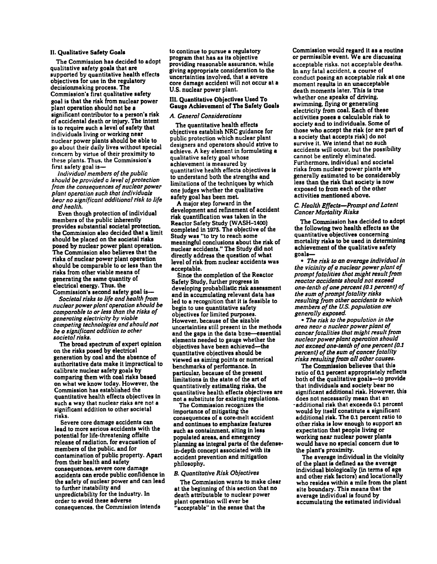## II. Qualitative Safety Goals

The Commission has decided to adopt<br>qualitative safety goals that are supported by quantitative health effects objectives for use in the regulatory decisionmaking process. The Commission's first qualitative safety goal is that the risk from nuclear power plant operation should not be a significant contributor to a person's risk of accidental death or injury. The intent is to require such a level of safety that<br>individuals living or working near nuclear power plants should be able to<br>go about their daily lives without special concern by virtue of their proximity to these plants. Thus. the Commission's first safety goal is-

*Individual members of the public should be provided a level of protection from the consequences of nuclear power plant operotion such that individuals bear no significant additional risk to life and health.* 

Even though protection of individual members of the public inherently provides substantial societal protection. the Commission also decided that a limit should be placed on the societal risks posed by nuclear power plant operation. The Commission also believes that the risks of nuclear power plant operation should be comparable to or less than the risks from other viable means of generating the same quantity of electrical energy. Thus, the Commission's second safety goal is-

*Societal risks to life and health from nuclear power plant operation should be comparable to or less than the risks of generating electricity by viable competing technologies and should not be a significant addition to other* 

The broad spectrum of expert opinion on the risks posed by electrical generation by coal and the absence of authoritative data make it impractical to calibrate nuclear safety goals by<br>comparing them with coal risks based on what we know today. However, the Commission has established the quantitative health effects objectives in such a way that nuclear risks are not a significant addition to other societal

risks.<br>Severe core damage accidents can lead to more serious accidents with the potential for life-threatening offsite release of radiation, for evacuation of members of the public, and for contamination of public property. Apart from their health and safety consequences, severe core damage accidents can erode public confidence in the safety of nuclear power and can lead to further instability and unpredictability for the industry. In order to avoid these adverse consequences, the Commission intends

to continue to pursue a regulatory program that has as its objective providing reasonable assurance. While giving appropriate consideration to the core damage accident will not occur at a U.S. nuclear power plant.

## III. Quantitative Objectives Used To Gauge Achievement of The Safety Goals

## A. *General Considerations*

The quantitative health effects objectives establish NRC guidance for public protection which nuclear plant designers and operators should strive to achieve. A key element in formulating a qualitative safety goal whose achievement is measured by quantitative health effects objectives is to understand both the strengths and limitations of the techniques by which one judges whether the qualitative safety goal has been met.

A major step forward in the development and refinement of accident risk quantification was taken in the Reactor Safety Study (WASH-1400) completed in 1975. The objective of the meaningful conclusions about the risk of nuclear accidents." The Study did not directly address the question of what level of risk from nuclear accidents was acceptable.

Since the completion of the Reactor Safety Study. further progress in developing probabilistic risk assessment and in accumulating relevant data has led to a recognition that it is feasible to begin to use quantitative safety objectives for limited purposes. However. because of the sizable uncertainties still present in the methods and the gaps in the data bese-essential elements needed to gauge whether the objectives have been achieved-the quantitative objectives should be viewed as aiming points or numerical benchmarks of performance. In particular, because of the present limitations in the state of the art of quantitatively estimating risks, the<br>quantitative health effects objectives are not a substitute for existing regulations.

The Commission recognizes the importance of mitigating the consequences of a core-melt accident and continues to emphasize features such as containment. siting in less populated areas. and emergency planning as integral parts of the defensein-depth concept associated with its accident prevention and mitigation philosophy.

# B. *Quantitative Risk Objectives*

The Commission wants to make clear at the beginning of this section that no death attributable to nuclear power plant operation will ever be "acceptable" in the sense that the

Commission would regard it as a routine<br>or permissible event. We are discussing acceptable risks. not acceptable deaths. In any fatal accident, a course of conduct posing an acceptable risk at one moment results in an unacceptable death moments later. This is true whether one speaks of driving, swimming, flying or generating electricity from coal. Each of these activities poses a calculable risk to society and to individuals. Some of those who accept the risk (or are part of a society that accepts risk) do not survive it. We intend that no such accidents will occur, but the possibility cannot be entirely eliminated. Furthermore, individual and societal<br>risks from nuclear power plants are generally estimated to be considerably less than the risk that society is now exposed to from each of the other activities mentioned above.

# *C. Health Effects-Prompt and Latent Cancer Mortality Risks*

The Commission has decided to adopt the following two health effects as the quantitative objectives concerning mortality risks to be used in determining achievement of the qualitative safety goals-

*• The risk to an average individual in the vicinity of a nuclear power plant 0/ prampt fatalities that might result fram reactor accidents should not exceed one-tenth of one percent (0.1 percent) 0/ the sum 0/ prampt fatality risks resulting fram other accidents to which members of the* u.s. *population are generally exposed.* 

*• The risk to the population in the area near a nuclear power plant of cancer fatalities that might result fram nuclear power plant operation should not exceed one-tenth* 0/ *one percent (0.1 percent) of the Bum of cancer fatality risks resulting fram all other causes.* 

The Commission believes that this ratio of 0.1 percent appropriately reflects both of the qualitative goals—to provide<br>that individuals and society bear no significant additional risk. However, this does not necessarily mean that an -additional risk that exceeds 0.1 percent would by itself constitute a significant additional risk. The 0.1 percent ratio to other risks is low enough to support an expectation that people living or working near nuclear power plants would have no special concern due to the plant's proximity.

The average individual in the vicinity of the plant is defmed as the average individual biologically (in terms of age and other risk factors) and locationally who resides within a mile from the plant site boundary. This means that the average individual ia found by accumulating the estimated individual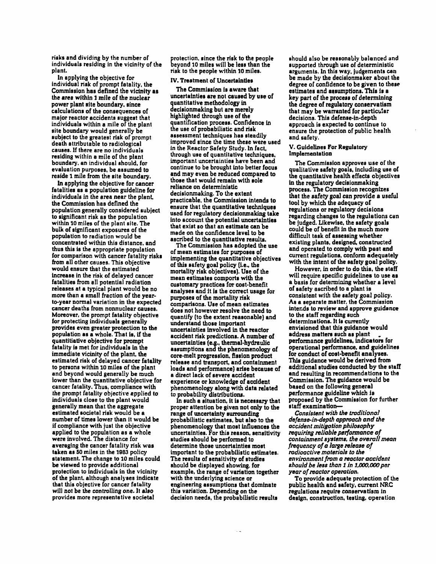risks and dividing by the number of individuals residing in the vicinity of the plant.

In applying the objective for Individual risk of prompt fatality. the Commission haa defined the vicinity as the area within 1 mile of the nuclear power plant site boundary. since calculations of the consequences of major reactor accidents suggest that individuals within a mile of the plant site boundary would generally be subject to the greatest risk of prompt<br>death attributable to radiological causes. If there are no individuals residing within a mile of the plant boundary. an individual should. for evaluation purposes, be assumed to reside 1 mile from the site boundary.

In applying the objective for cancer fatalities aa a population guideline for individuals in the area near the plant. the Commission has defined the population generally considered subject to significant risk aa the population within 10 miles of the plant site. The bulk of significant exposures of the population to radiation would be concentrated within this distance. and thus this is the appropriate population for comparison with cancer fatality risks from all other causes. This objective would ensure that the estimated<br>increase in the risk of delayed cancer fatalities from all potential radiation releases at a typical plant would be no more than a small fraction of the year-<br>to-year normal variation in the expected cancer deaths from nonnuclear causes.<br>Moreover, the prompt fatality objective for protecting individuals generally provides even greater protection to the population as a whole. That ia. if the quantitiative objective for prompt fatality ia met for individuals in the immediate vicinity of the plant. the estimated risk of delayed cancer fatality to persons within 10 miles of the plant and beyond would generally be much<br>lower than the quantitative objective for cancer fatality. Thus, compliance with the prompt fatality objective applied to individuals close to the plant would generally mean that the aggregate number of times lower than it would be if compliance with just the objective applied to the population as a whole were involved. The distance for taken as 50 miles in the 1983 policy statement. The change to 10 miles could be viewed to provide additional protection to individuals in the vicinity of the plant, although analyses indicate that this objective for cancer fatality will not be the controlling one. It also provides more representative societal

protection. since the risk to the people beyond 10 miles will be less than the risk to the people within 10 milea.

#### IV. Treatment of Uncertainties

The Commission is aware that uncertainties are not caused by use of quantitative methodology in decisionmaking but are merely highlighted through use of the quantification process. Confidence in the use of probabilistic and risk assessment techniques has steadily improved since the time these were used in the Reactor Safety Study. In fact. through use of quantitative techniques. important uncertainties have been and continue to be brought into better focus and may even be reduced compared to those that would remain with sole reliance on deterministic decisionmaking. To the extent practicable. the Commission intends to ensure that the quantitative techniques used for regulatory decisionmaking take into account the potential uncertainties that exist so that an estimate can be made on the confidence level to be

ascribed to the quantitative results.<br>The Commission has adopted the use of mean estimates for purposes of implementing the quantitative objectives of this safety goal policy (i.e., the mortality risk objectives). Use of the mean estimates comports with the customary practices for cost-benefit analyses and It Is the correct usage for purposes of the mortality risk comparisons. Use of mean estimates does not however resolve the need to quantify (to the extent reasonable) and understand those important uncertainties involved in the reactor accident risk predictions. A number of uncertainties (e.g., thermal-hydraulic assumptions and the phenomenology of core-melt progression. fission product release and transport. and containment a direct lack of severe accident experience or knowledge of accident phenomenology along with data related to probability distributiona.

In such a situation. It is neceasary that proper attention be given not only to the range of uncertainty surrounding probabilistic estimates. but also to the phenomenology that most influences the uncertainties. For this reason. sensitivity studies should be performed to determine those uncertainties most important to the probabilistic estimates. The results of sensitivity of studies should be displayed showing. for example. the range of variation together<br>with the underlying science or engineering assumptions that dominate this variation. Depending on the decision needs. the probabilistic results

should also be reasonably balanced and supported through use of deterministic<br>arguments. In this way, judgements can be made by the decisionmaker about the degree of confidence to be given to these estimates and assumptions. This is a key part of the process of determining the degree of regulatory conservatism that may be warranted for particular decisions. This defense-in-depth<br>approach is expected to continue to ensure the protection of public health and safety.

# V. Guidelines For Regulatory Implementation

The Commission approves use of the qualitative safety goals. including use of the quantitative health effects objectives in the regulatory decisionmaking process. The Commission recognizes that the safety goal can provide a useful tool by which the adequacy of regulations or regulatory decisions<br>regarding changes to the regulations can be judged. Likewise, the safety goals<br>could be of benefit in the much more difficult task of assessing whether existing plants. designed. constructed and operated to comply with past and current regulations. conform adequately with the intent of the safety goal policy.

However, in order to do this, the staff<br>will require specific guidelines to use as a basis for determining whether a level of safety ascribed to a plant is consistent with the safety goal policy. As a separate matter. the Commission inter.ds to review and approve guidance to the staff regarding such determinations. It is currently envisioned that this guidance would<br>address matters such as plant performance guidelines, indicators for operational performance. and guidelines This guidance would be derived from additional studies conducted by the staff and resulting in recommendations to the Commission. The guidance would be based on the following general performance suideline which is proposed by the Commission for further staff examination-

*Consistent with the traditional defense-in-depth approach and the occident mitigation philosophy requiring reliable psrfonnonce of containment system ••* the *overall mean frequency of a large release of rodioactive materials to the environment from a reactor accident should be less than* 1 *;n 1.000.000 per year of reactor operotion.* 

To provide adequate protection of the public health and safety. current NRC regulations require conservatism in design. construction. testing. operation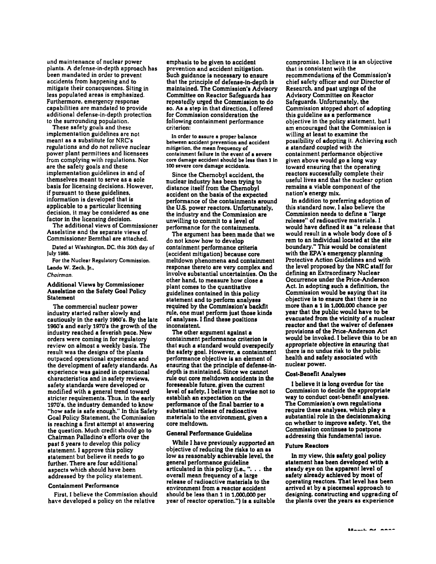and maintenance of nuclear power plants. A defense-in-depth approach has been mandated in order to prevent accidents from happening and to mitigate their consequences. Siting in less populated areas is emphasized. Furthermore, emergency response capabilities are mandated to provide additional defense-in-depth protection to the surrounding population.

These safety goals and these implementation guidelines are not meant as a substitute for NRC's regulations and do not relieve nuclear power plant permittees and licensees frem complying with regulations. Nor are the safety goals and these implementation guidelines in and of themselves meant to serve as a sole basis for licensing decisions. However, if pursuant to these guidelines, information is developed that is applicable to a particular licensing decision, it may be considered as one factor in the licensing decision.

The additional views of Commissioner Asselstine and the separate views of Commissioner Bemthal are attached.

Dated at Washington. DC. this 30th day of July 1986.

For the Nuclear Regulatory Commission. Lando W. Zech, Jr.,

#### *Chairman.*

## Additional Views by Commissioner Asselstine on the Safety Goal Policy Statement

The commercial nuclear power industry started rather slowly and cautiously in the early 1960's. By the late 1960's and early 1970's the growth of the industry reached a feverish pace. New orders were coming in for regulatory review on almost a weekly basis. The result was the designs of the plants outpaced operational experience and the development of safety standards. As experience was gained in operational characteristics and in safety reviews, safety standards were developed or modified with a general trend toward stricter requirements. Thus, in the early 1970's, the industry demanded to know "how safe is safe enough." In this Safety Goal Policy Statement, the Commission is reaching a first attempt at answering the question. Much credit should go to Chairman Palladino's efforts over the past 5 years to develop this policy statement. I approve this policy statement but believe it needs to go further. There are four additional aspects which should have been addressed by the policy statement.

## Containment Performance

First, I believe the Commission should have developed a policy on the relative

emphasis to be given to accident prevention and accident mitigation. Such guidance is necessary to ensure that the principle of defense-in-depth is maintained. The Commission's Advisory Committee on Reactor Safeguards has repeatedly urged the Commission to do so. As a step in that direction, I offered for Commission consideration the following containment performance criterion:

In order to assure a proper balance between accident prevention and accident mitigation, the mean frequency of containment failure in the event of a severe core damage accident should be less than 1 in 100 severe core damage accidents.

Since the Chemobyl accident, the nuclear industry has been trying to distance itself from the Chemobyl accident on the basis of the expected performance of the containments around the U\_S. power reactors. Unfortunately, the industry and the Commission are unwilling to commit to a level of performance for the containments.

The argument has been made that we do not know how to develop containment performance criteria (accident mitigation) because core meltdown phenomena and containment response thereto are very complex and involve substantial uncertainties. On the other hand, to measure how close a plant comes to the quantitative guidelines contained in this policy statement and to perform analyses required by the Commission's backfit rule, one must perform just those kinds of analyses. I find these positions inconsistent.

The other argument against a containment performance criterion is that such a standard would overspecify the safety goal. However. a containment performance objective is an element of ensuring that the principle of defense-indepth is maintained. Since we cannot rule out core meltdown accidents in the foreseeable future, given the current level of safety, I believe it unwise not to establish an expectation on the performance of the final barrier to a substantial release of radioactive materials to the environment. given a core meltdown.

# General Performance Guidoline

While I have previously supported an objective of reducing the risks to an as low as reasonably achievable level, the general performance guideline articulated in this policy (i.e.,  $\ldots$  the overall mean frequency of a large releaae of radioactive materials to the environment from a reactor accident should be less than 1 in 1,000,000 per year of reactor operation.") is a suitable

compromise. 1 believe it is an objective that is consistent with the recommendations of the Commission's chief safety officer and our Director of Research, and past urgings of the Advisory Committee on Reactor Safeguards. Unfortunately, the Commission stopped short of adopting this guideline as a performance objective in the policy statement, but I am encouraged that the Commission is willing at least to examine the possibility of adopting it. Achieving such a standard coupled with the containment performance objective given above would go a long way toward ensuring that the operating reactors successfully complete their useful lives and that the nuclear option remains a viable component of the nation's energy mix.

In addition to preferring adoption of this standard now, 1 also believe the Commission needs to define a "large release" of radioactive materials. I would have defined it as "a release that would result in a whole body dose of 5 rem to an individual located at the site boundary." This would be consistent with the EPA's emergency planning Protective Action Guidelines and with the level proposed by the NRC staff for defining an Extraordinary Nuclear Occurrence under the Price-Anderson Act. In adopting such a definition, the Commission would be saying that its more than a 1 in 1,000,000 chance per year that the public would have to be evacuated from the vicinity of a nuclear reactor and that the waiver of defenses provisions of the Price-Anderson Act would be invoked. I believe this to be an appropriate objective in ensuring thai there is no undue risk to the public health and safety associated with nuclear power.

## Cost-Benefit Analyses

I believe it is long overdue for the Commission to decide the appropriate way to conduct cost-benefit analyses. The Commission's own regulations require these analyses, which play a substantial role in the decisionmaking on whether to improve safety. Yet, the Commission continues to postpone addressing this fundamental issue.

# Future Reactors

In my view, this safety goal policy statement has been developed with a steady eye on the apparent level of safety already achieved by most of operating reactors. That level has been arrived at by a piecemeal approach to designing, constructing and upgrading of the plants over the years as experience